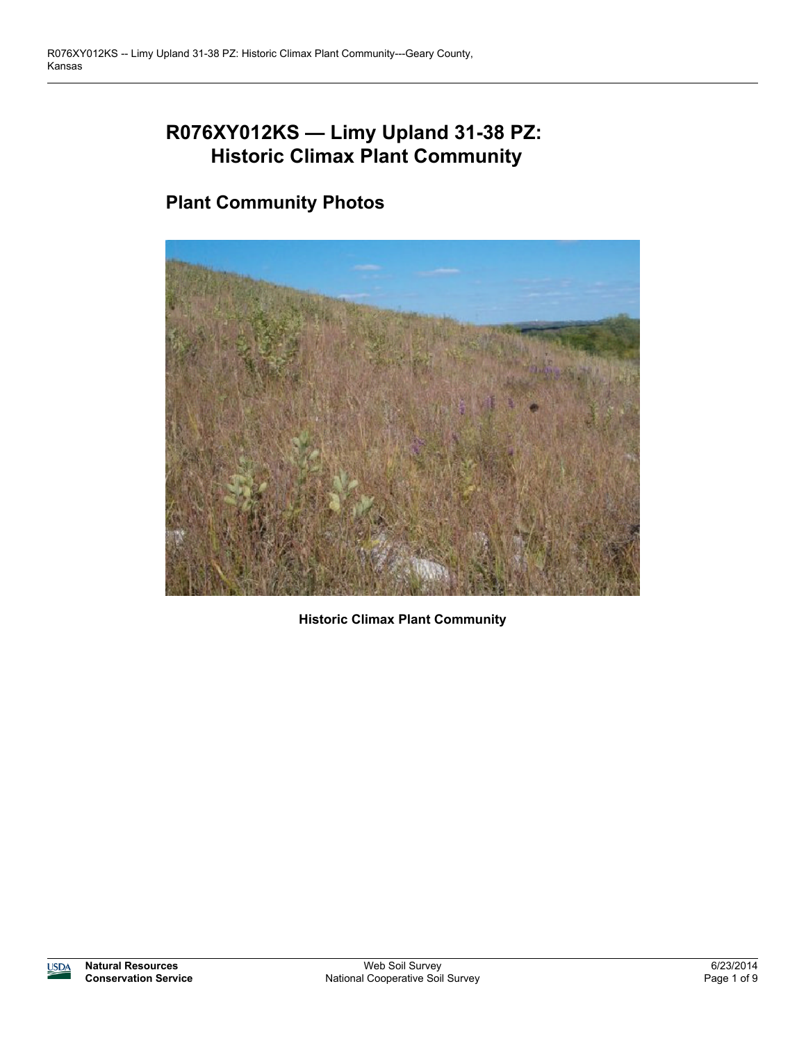# **R076XY012KS — Limy Upland 31-38 PZ: Historic Climax Plant Community**

## **Plant Community Photos**



**Historic Climax Plant Community**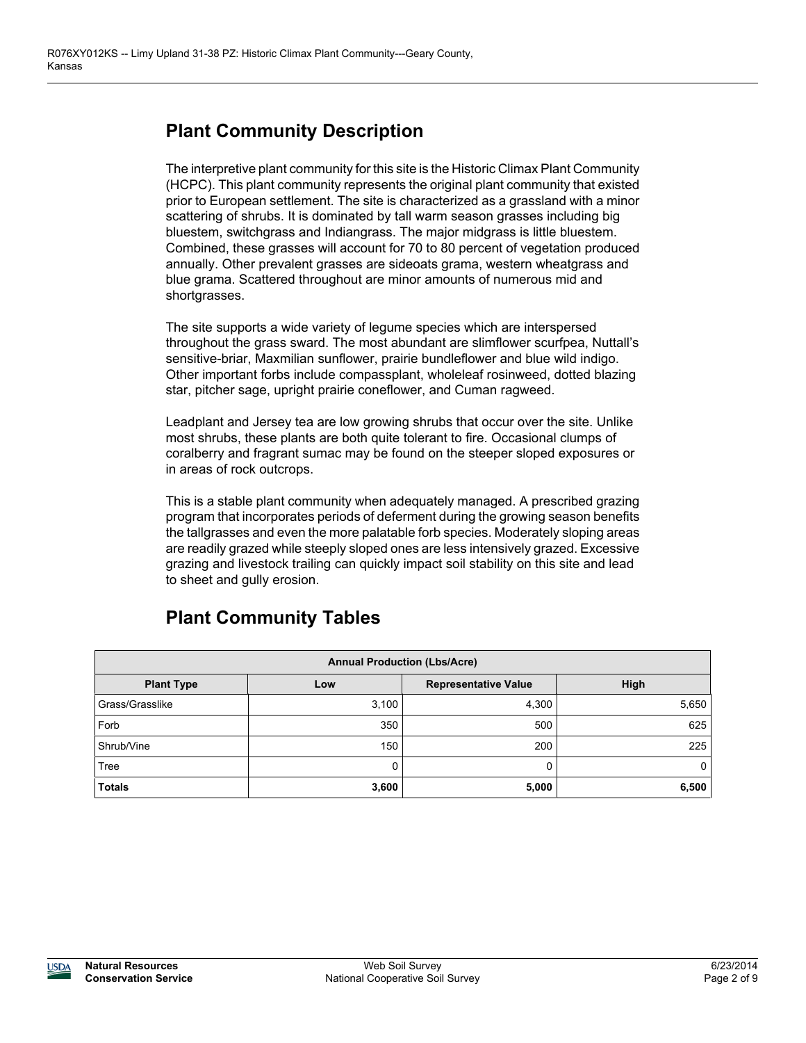#### **Plant Community Description**

The interpretive plant community for this site is the Historic Climax Plant Community (HCPC). This plant community represents the original plant community that existed prior to European settlement. The site is characterized as a grassland with a minor scattering of shrubs. It is dominated by tall warm season grasses including big bluestem, switchgrass and Indiangrass. The major midgrass is little bluestem. Combined, these grasses will account for 70 to 80 percent of vegetation produced annually. Other prevalent grasses are sideoats grama, western wheatgrass and blue grama. Scattered throughout are minor amounts of numerous mid and shortgrasses.

The site supports a wide variety of legume species which are interspersed throughout the grass sward. The most abundant are slimflower scurfpea, Nuttall's sensitive-briar, Maxmilian sunflower, prairie bundleflower and blue wild indigo. Other important forbs include compassplant, wholeleaf rosinweed, dotted blazing star, pitcher sage, upright prairie coneflower, and Cuman ragweed.

Leadplant and Jersey tea are low growing shrubs that occur over the site. Unlike most shrubs, these plants are both quite tolerant to fire. Occasional clumps of coralberry and fragrant sumac may be found on the steeper sloped exposures or in areas of rock outcrops.

This is a stable plant community when adequately managed. A prescribed grazing program that incorporates periods of deferment during the growing season benefits the tallgrasses and even the more palatable forb species. Moderately sloping areas are readily grazed while steeply sloped ones are less intensively grazed. Excessive grazing and livestock trailing can quickly impact soil stability on this site and lead to sheet and gully erosion.

### **Plant Community Tables**

| <b>Annual Production (Lbs/Acre)</b> |       |                             |       |  |  |  |
|-------------------------------------|-------|-----------------------------|-------|--|--|--|
| <b>Plant Type</b>                   | Low   | <b>Representative Value</b> | High  |  |  |  |
| Grass/Grasslike                     | 3,100 | 4,300                       | 5,650 |  |  |  |
| Forb                                | 350   | 500                         | 625   |  |  |  |
| Shrub/Vine                          | 150   | 200                         | 225   |  |  |  |
| Tree                                | 0     | 0                           | 0     |  |  |  |
| <b>Totals</b>                       | 3,600 | 5,000                       | 6,500 |  |  |  |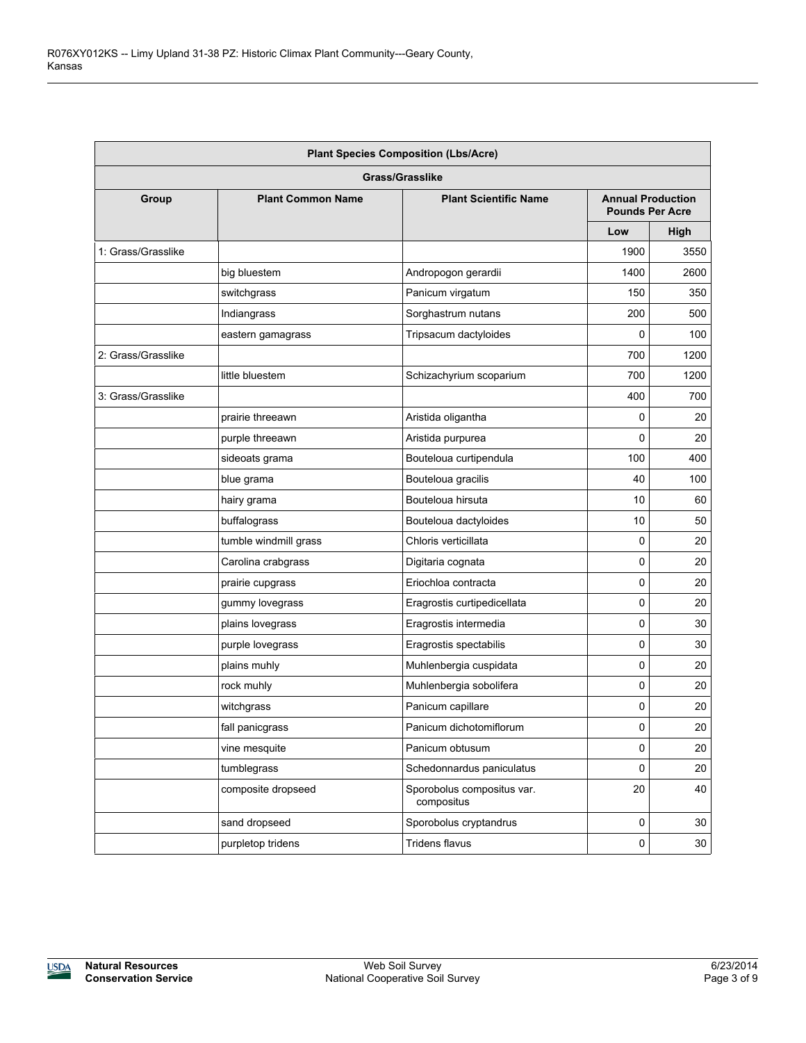| <b>Plant Species Composition (Lbs/Acre)</b> |                          |                                          |             |                                                    |  |
|---------------------------------------------|--------------------------|------------------------------------------|-------------|----------------------------------------------------|--|
|                                             |                          | <b>Grass/Grasslike</b>                   |             |                                                    |  |
| Group                                       | <b>Plant Common Name</b> | <b>Plant Scientific Name</b>             |             | <b>Annual Production</b><br><b>Pounds Per Acre</b> |  |
|                                             |                          |                                          | Low         | High                                               |  |
| 1: Grass/Grasslike                          |                          |                                          | 1900        | 3550                                               |  |
|                                             | big bluestem             | Andropogon gerardii                      | 1400        | 2600                                               |  |
|                                             | switchgrass              | Panicum virgatum                         | 150         | 350                                                |  |
|                                             | Indiangrass              | Sorghastrum nutans                       | 200         | 500                                                |  |
|                                             | eastern gamagrass        | Tripsacum dactyloides                    | 0           | 100                                                |  |
| 2: Grass/Grasslike                          |                          |                                          | 700         | 1200                                               |  |
|                                             | little bluestem          | Schizachyrium scoparium                  | 700         | 1200                                               |  |
| 3: Grass/Grasslike                          |                          |                                          | 400         | 700                                                |  |
|                                             | prairie threeawn         | Aristida oligantha                       | 0           | 20                                                 |  |
|                                             | purple threeawn          | Aristida purpurea                        | 0           | 20                                                 |  |
|                                             | sideoats grama           | Bouteloua curtipendula                   | 100         | 400                                                |  |
|                                             | blue grama               | Bouteloua gracilis                       | 40          | 100                                                |  |
|                                             | hairy grama              | Bouteloua hirsuta                        | 10          | 60                                                 |  |
|                                             | buffalograss             | Bouteloua dactyloides                    | 10          | 50                                                 |  |
|                                             | tumble windmill grass    | Chloris verticillata                     | 0           | 20                                                 |  |
|                                             | Carolina crabgrass       | Digitaria cognata                        | 0           | 20                                                 |  |
|                                             | prairie cupgrass         | Eriochloa contracta                      | 0           | 20                                                 |  |
|                                             | gummy lovegrass          | Eragrostis curtipedicellata              | 0           | 20                                                 |  |
|                                             | plains lovegrass         | Eragrostis intermedia                    | 0           | 30                                                 |  |
|                                             | purple lovegrass         | Eragrostis spectabilis                   | 0           | 30                                                 |  |
|                                             | plains muhly             | Muhlenbergia cuspidata                   | 0           | 20                                                 |  |
|                                             | rock muhly               | Muhlenbergia sobolifera                  | 0           | 20                                                 |  |
|                                             | witchgrass               | Panicum capillare                        | 0           | 20                                                 |  |
|                                             | fall panicgrass          | Panicum dichotomiflorum                  | 0           | 20                                                 |  |
|                                             | vine mesquite            | Panicum obtusum                          | 0           | $20\,$                                             |  |
|                                             | tumblegrass              | Schedonnardus paniculatus                | 0           | 20                                                 |  |
|                                             | composite dropseed       | Sporobolus compositus var.<br>compositus | 20          | 40                                                 |  |
|                                             | sand dropseed            | Sporobolus cryptandrus                   | 0           | $30\,$                                             |  |
|                                             | purpletop tridens        | Tridens flavus                           | $\mathsf 0$ | 30                                                 |  |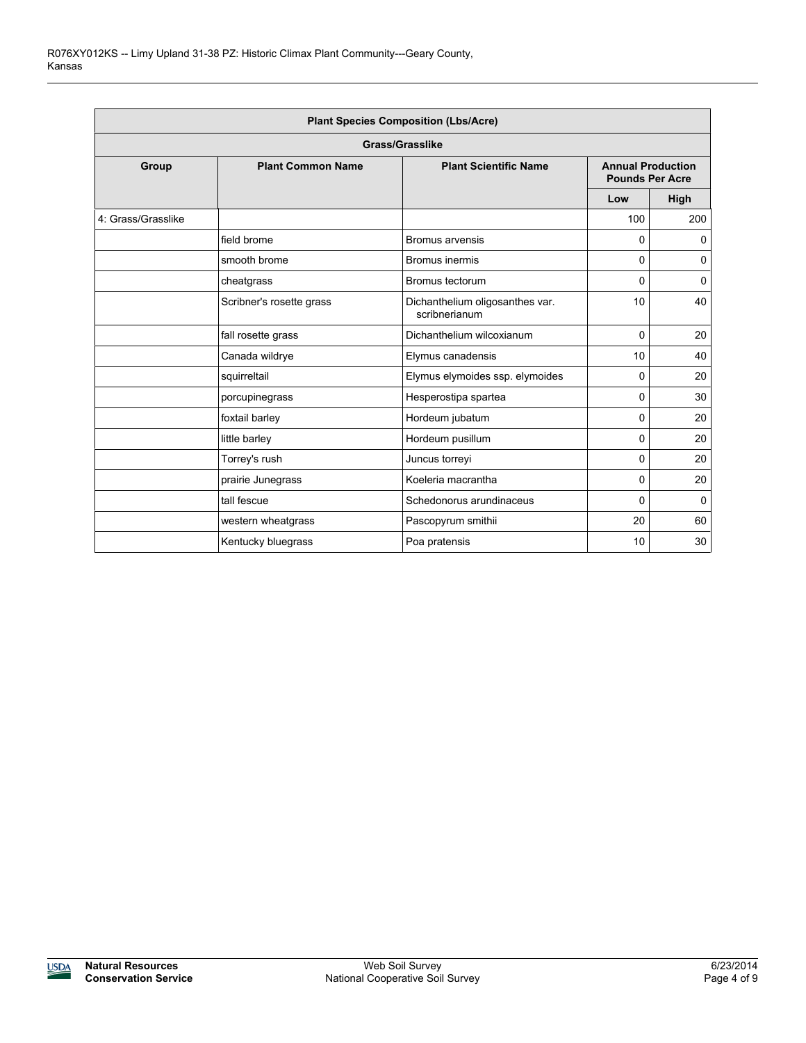| <b>Plant Species Composition (Lbs/Acre)</b> |                          |                                                  |          |                                                    |  |  |  |  |
|---------------------------------------------|--------------------------|--------------------------------------------------|----------|----------------------------------------------------|--|--|--|--|
| Grass/Grasslike                             |                          |                                                  |          |                                                    |  |  |  |  |
| Group                                       | <b>Plant Common Name</b> | <b>Plant Scientific Name</b>                     |          | <b>Annual Production</b><br><b>Pounds Per Acre</b> |  |  |  |  |
|                                             |                          |                                                  | Low      | High                                               |  |  |  |  |
| 4: Grass/Grasslike                          |                          |                                                  | 100      | 200                                                |  |  |  |  |
|                                             | field brome              | <b>Bromus arvensis</b>                           | 0        | 0                                                  |  |  |  |  |
|                                             | smooth brome             | Bromus inermis                                   | 0        | 0                                                  |  |  |  |  |
|                                             | cheatgrass               | Bromus tectorum                                  | 0        | 0                                                  |  |  |  |  |
|                                             | Scribner's rosette grass | Dichanthelium oligosanthes var.<br>scribnerianum | 10       | 40                                                 |  |  |  |  |
|                                             | fall rosette grass       | Dichanthelium wilcoxianum                        | 0        | 20                                                 |  |  |  |  |
|                                             | Canada wildrye           | Elymus canadensis                                | 10       | 40                                                 |  |  |  |  |
|                                             | squirreltail             | Elymus elymoides ssp. elymoides                  | 0        | 20                                                 |  |  |  |  |
|                                             | porcupinegrass           | Hesperostipa spartea                             | 0        | 30                                                 |  |  |  |  |
|                                             | foxtail barley           | Hordeum jubatum                                  | 0        | 20                                                 |  |  |  |  |
|                                             | little barley            | Hordeum pusillum                                 | 0        | 20                                                 |  |  |  |  |
|                                             | Torrey's rush            | Juncus torreyi                                   | $\Omega$ | 20                                                 |  |  |  |  |
|                                             | prairie Junegrass        | Koeleria macrantha                               | 0        | 20                                                 |  |  |  |  |
|                                             | tall fescue              | Schedonorus arundinaceus                         | 0        | 0                                                  |  |  |  |  |
|                                             | western wheatgrass       | Pascopyrum smithii                               | 20       | 60                                                 |  |  |  |  |
|                                             | Kentucky bluegrass       | Poa pratensis                                    | 10       | 30                                                 |  |  |  |  |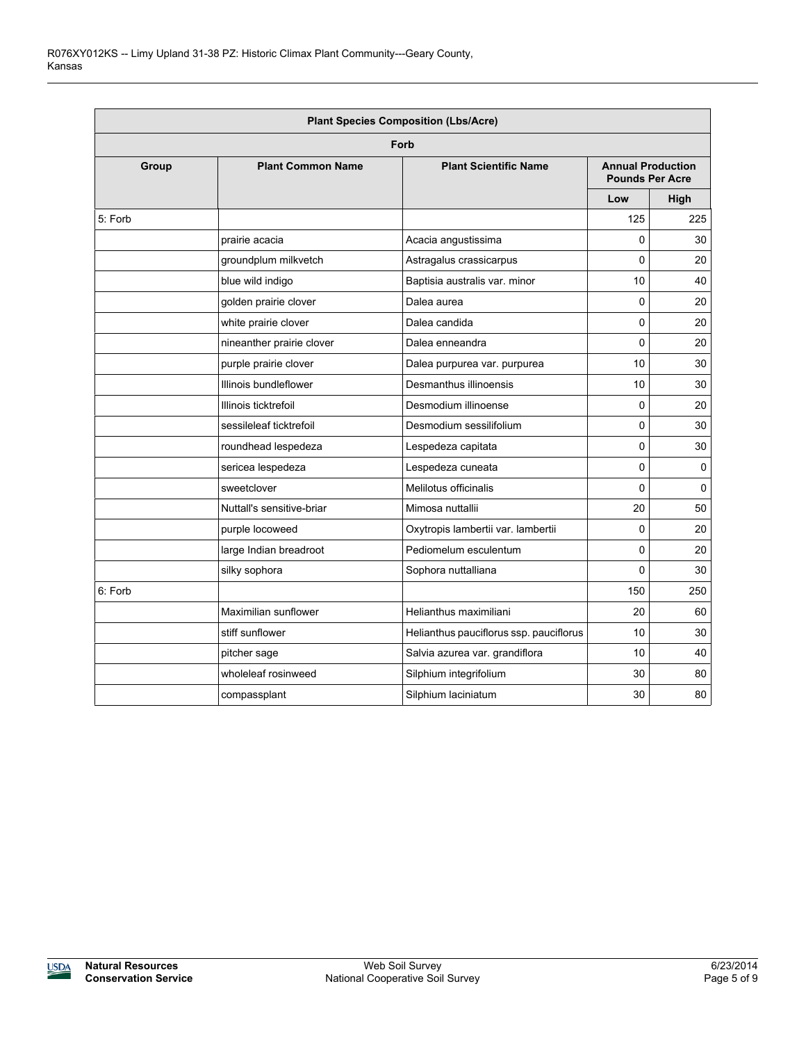|         | <b>Plant Species Composition (Lbs/Acre)</b> |                                         |                                                    |          |  |  |  |  |
|---------|---------------------------------------------|-----------------------------------------|----------------------------------------------------|----------|--|--|--|--|
|         | Forb                                        |                                         |                                                    |          |  |  |  |  |
| Group   | <b>Plant Common Name</b>                    | <b>Plant Scientific Name</b>            | <b>Annual Production</b><br><b>Pounds Per Acre</b> |          |  |  |  |  |
|         |                                             |                                         | Low                                                | High     |  |  |  |  |
| 5: Forb |                                             |                                         | 125                                                | 225      |  |  |  |  |
|         | prairie acacia                              | Acacia angustissima                     | 0                                                  | 30       |  |  |  |  |
|         | groundplum milkvetch                        | Astragalus crassicarpus                 | 0                                                  | 20       |  |  |  |  |
|         | blue wild indigo                            | Baptisia australis var. minor           | 10                                                 | 40       |  |  |  |  |
|         | golden prairie clover                       | Dalea aurea                             | 0                                                  | 20       |  |  |  |  |
|         | white prairie clover                        | Dalea candida                           | 0                                                  | 20       |  |  |  |  |
|         | nineanther prairie clover                   | Dalea enneandra                         | 0                                                  | 20       |  |  |  |  |
|         | purple prairie clover                       | Dalea purpurea var. purpurea            | 10                                                 | 30       |  |  |  |  |
|         | Illinois bundleflower                       | Desmanthus illinoensis                  | 10                                                 | 30       |  |  |  |  |
|         | Illinois ticktrefoil                        | Desmodium illinoense                    | 0                                                  | 20       |  |  |  |  |
|         | sessileleaf ticktrefoil                     | Desmodium sessilifolium                 | 0                                                  | 30       |  |  |  |  |
|         | roundhead lespedeza                         | Lespedeza capitata                      | 0                                                  | 30       |  |  |  |  |
|         | sericea lespedeza                           | Lespedeza cuneata                       | 0                                                  | 0        |  |  |  |  |
|         | sweetclover                                 | Melilotus officinalis                   | 0                                                  | $\Omega$ |  |  |  |  |
|         | Nuttall's sensitive-briar                   | Mimosa nuttallii                        | 20                                                 | 50       |  |  |  |  |
|         | purple locoweed                             | Oxytropis lambertii var. lambertii      | $\mathbf{0}$                                       | 20       |  |  |  |  |
|         | large Indian breadroot                      | Pediomelum esculentum                   | 0                                                  | 20       |  |  |  |  |
|         | silky sophora                               | Sophora nuttalliana                     | $\mathbf{0}$                                       | 30       |  |  |  |  |
| 6: Forb |                                             |                                         | 150                                                | 250      |  |  |  |  |
|         | Maximilian sunflower                        | Helianthus maximiliani                  | 20                                                 | 60       |  |  |  |  |
|         | stiff sunflower                             | Helianthus pauciflorus ssp. pauciflorus | 10                                                 | 30       |  |  |  |  |
|         | pitcher sage                                | Salvia azurea var. grandiflora          | 10                                                 | 40       |  |  |  |  |
|         | wholeleaf rosinweed                         | Silphium integrifolium                  | 30                                                 | 80       |  |  |  |  |
|         | compassplant                                | Silphium laciniatum                     | 30                                                 | 80       |  |  |  |  |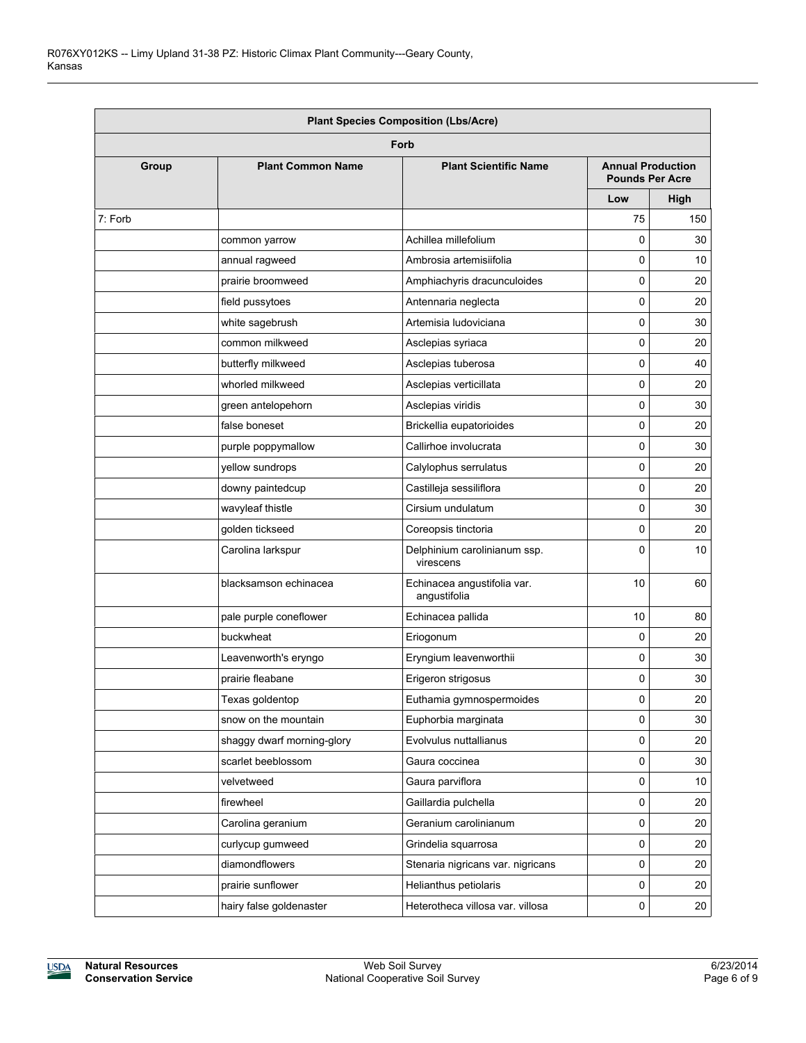| <b>Plant Species Composition (Lbs/Acre)</b> |                            |                                             |                                                    |      |  |
|---------------------------------------------|----------------------------|---------------------------------------------|----------------------------------------------------|------|--|
|                                             |                            | Forb                                        |                                                    |      |  |
| Group                                       | <b>Plant Common Name</b>   | <b>Plant Scientific Name</b>                | <b>Annual Production</b><br><b>Pounds Per Acre</b> |      |  |
|                                             |                            |                                             | Low                                                | High |  |
| 7: Forb                                     |                            |                                             | 75                                                 | 150  |  |
|                                             | common yarrow              | Achillea millefolium                        | 0                                                  | 30   |  |
|                                             | annual ragweed             | Ambrosia artemisiifolia                     | $\mathbf 0$                                        | 10   |  |
|                                             | prairie broomweed          | Amphiachyris dracunculoides                 | $\mathbf 0$                                        | 20   |  |
|                                             | field pussytoes            | Antennaria neglecta                         | 0                                                  | 20   |  |
|                                             | white sagebrush            | Artemisia Iudoviciana                       | 0                                                  | 30   |  |
|                                             | common milkweed            | Asclepias syriaca                           | 0                                                  | 20   |  |
|                                             | butterfly milkweed         | Asclepias tuberosa                          | 0                                                  | 40   |  |
|                                             | whorled milkweed           | Asclepias verticillata                      | 0                                                  | 20   |  |
|                                             | green antelopehorn         | Asclepias viridis                           | 0                                                  | 30   |  |
|                                             | false boneset              | Brickellia eupatorioides                    | 0                                                  | 20   |  |
|                                             | purple poppymallow         | Callirhoe involucrata                       | 0                                                  | 30   |  |
|                                             | yellow sundrops            | Calylophus serrulatus                       | 0                                                  | 20   |  |
|                                             | downy paintedcup           | Castilleja sessiliflora                     | $\mathbf 0$                                        | 20   |  |
|                                             | wavyleaf thistle           | Cirsium undulatum                           | 0                                                  | 30   |  |
|                                             | golden tickseed            | Coreopsis tinctoria                         | $\Omega$                                           | 20   |  |
|                                             | Carolina larkspur          | Delphinium carolinianum ssp.<br>virescens   | $\Omega$                                           | 10   |  |
|                                             | blacksamson echinacea      | Echinacea angustifolia var.<br>angustifolia | 10                                                 | 60   |  |
|                                             | pale purple coneflower     | Echinacea pallida                           | 10                                                 | 80   |  |
|                                             | buckwheat                  | Eriogonum                                   | 0                                                  | 20   |  |
|                                             | Leavenworth's eryngo       | Eryngium leavenworthii                      | 0                                                  | 30   |  |
|                                             | prairie fleabane           | Erigeron strigosus                          | 0                                                  | 30   |  |
|                                             | Texas goldentop            | Euthamia gymnospermoides                    | 0                                                  | 20   |  |
|                                             | snow on the mountain       | Euphorbia marginata                         | 0                                                  | 30   |  |
|                                             | shaggy dwarf morning-glory | Evolvulus nuttallianus                      | 0                                                  | 20   |  |
|                                             | scarlet beeblossom         | Gaura coccinea                              | $\mathsf 0$                                        | 30   |  |
|                                             | velvetweed                 | Gaura parviflora                            | 0                                                  | 10   |  |
|                                             | firewheel                  | Gaillardia pulchella                        | 0                                                  | 20   |  |
|                                             | Carolina geranium          | Geranium carolinianum                       | 0                                                  | 20   |  |
|                                             | curlycup gumweed           | Grindelia squarrosa                         | 0                                                  | 20   |  |
|                                             | diamondflowers             | Stenaria nigricans var. nigricans           | 0                                                  | 20   |  |
|                                             | prairie sunflower          | Helianthus petiolaris                       | $\mathsf 0$                                        | 20   |  |
|                                             | hairy false goldenaster    | Heterotheca villosa var. villosa            | 0                                                  | 20   |  |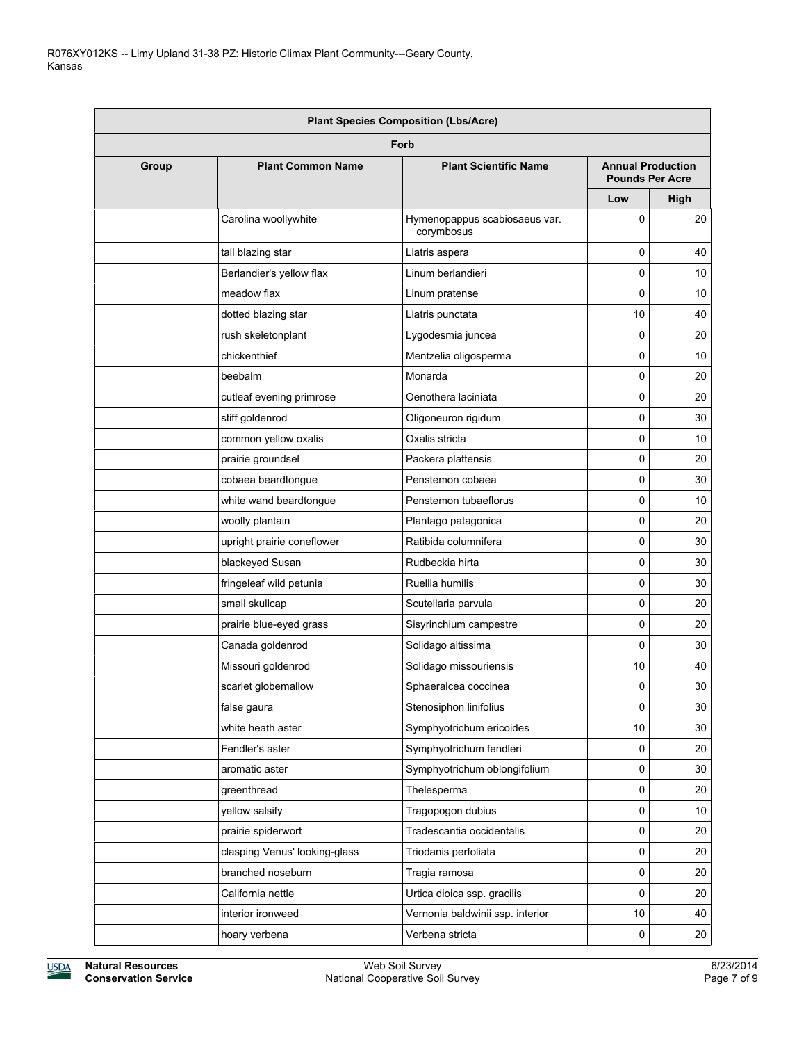| <b>Plant Species Composition (Lbs/Acre)</b> |                               |                                             |                          |                        |  |  |
|---------------------------------------------|-------------------------------|---------------------------------------------|--------------------------|------------------------|--|--|
|                                             |                               | Forb                                        |                          |                        |  |  |
| Group                                       | <b>Plant Common Name</b>      | <b>Plant Scientific Name</b>                | <b>Annual Production</b> | <b>Pounds Per Acre</b> |  |  |
|                                             |                               |                                             | Low                      | High                   |  |  |
|                                             | Carolina woollywhite          | Hymenopappus scabiosaeus var.<br>corymbosus | 0                        | 20                     |  |  |
|                                             | tall blazing star             | Liatris aspera                              | 0                        | 40                     |  |  |
|                                             | Berlandier's yellow flax      | Linum berlandieri                           | 0                        | 10                     |  |  |
|                                             | meadow flax                   | Linum pratense                              | $\Omega$                 | 10                     |  |  |
|                                             | dotted blazing star           | Liatris punctata                            | 10                       | 40                     |  |  |
|                                             | rush skeletonplant            | Lygodesmia juncea                           | 0                        | 20                     |  |  |
|                                             | chickenthief                  | Mentzelia oligosperma                       | 0                        | 10                     |  |  |
|                                             | beebalm                       | Monarda                                     | 0                        | 20                     |  |  |
|                                             | cutleaf evening primrose      | Oenothera laciniata                         | 0                        | 20                     |  |  |
|                                             | stiff goldenrod               | Oligoneuron rigidum                         | 0                        | 30                     |  |  |
|                                             | common yellow oxalis          | Oxalis stricta                              | 0                        | 10                     |  |  |
|                                             | prairie groundsel             | Packera plattensis                          | 0                        | 20                     |  |  |
|                                             | cobaea beardtongue            | Penstemon cobaea                            | 0                        | 30                     |  |  |
|                                             | white wand beardtongue        | Penstemon tubaeflorus                       | 0                        | 10                     |  |  |
|                                             | woolly plantain               | Plantago patagonica                         | 0                        | 20                     |  |  |
|                                             | upright prairie coneflower    | Ratibida columnifera                        | 0                        | 30                     |  |  |
|                                             | blackeyed Susan               | Rudbeckia hirta                             | 0                        | 30                     |  |  |
|                                             | fringeleaf wild petunia       | Ruellia humilis                             | 0                        | 30                     |  |  |
|                                             | small skullcap                | Scutellaria parvula                         | 0                        | 20                     |  |  |
|                                             | prairie blue-eyed grass       | Sisyrinchium campestre                      | 0                        | 20                     |  |  |
|                                             | Canada goldenrod              | Solidago altissima                          | 0                        | 30                     |  |  |
|                                             | Missouri goldenrod            | Solidago missouriensis                      | 10                       | 40                     |  |  |
|                                             | scarlet globemallow           | Sphaeralcea coccinea                        | 0                        | 30                     |  |  |
|                                             | false gaura                   | Stenosiphon linifolius                      | 0                        | 30                     |  |  |
|                                             | white heath aster             | Symphyotrichum ericoides                    | 10                       | 30                     |  |  |
|                                             | Fendler's aster               | Symphyotrichum fendleri                     | 0                        | 20                     |  |  |
|                                             | aromatic aster                | Symphyotrichum oblongifolium                | 0                        | 30                     |  |  |
|                                             | greenthread                   | Thelesperma                                 | 0                        | 20                     |  |  |
|                                             | yellow salsify                | Tragopogon dubius                           | 0                        | 10                     |  |  |
|                                             | prairie spiderwort            | Tradescantia occidentalis                   | 0                        | 20                     |  |  |
|                                             | clasping Venus' looking-glass | Triodanis perfoliata                        | 0                        | 20                     |  |  |
|                                             | branched noseburn             | Tragia ramosa                               | 0                        | 20                     |  |  |
|                                             | California nettle             | Urtica dioica ssp. gracilis                 | 0                        | 20                     |  |  |
|                                             | interior ironweed             | Vernonia baldwinii ssp. interior            | 10                       | 40                     |  |  |
|                                             | hoary verbena                 | Verbena stricta                             | 0                        | 20                     |  |  |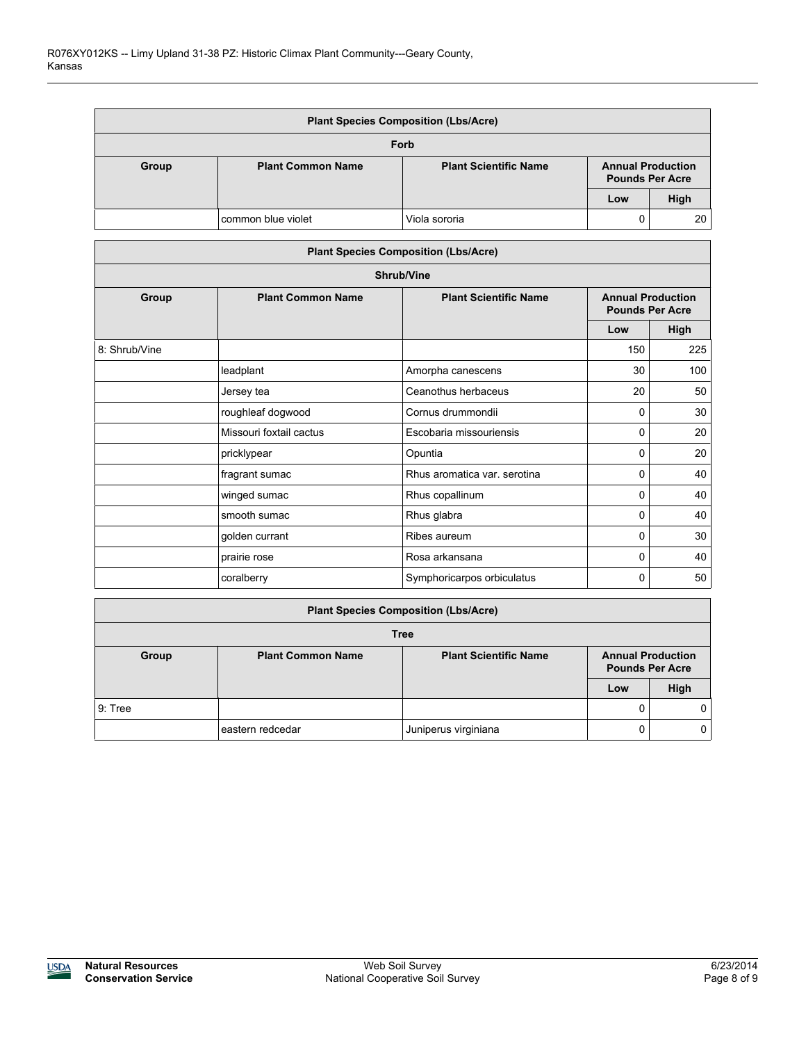| <b>Plant Species Composition (Lbs/Acre)</b> |                          |                              |                                                    |      |  |
|---------------------------------------------|--------------------------|------------------------------|----------------------------------------------------|------|--|
| Forb                                        |                          |                              |                                                    |      |  |
| Group                                       | <b>Plant Common Name</b> | <b>Plant Scientific Name</b> | <b>Annual Production</b><br><b>Pounds Per Acre</b> |      |  |
|                                             |                          |                              | Low                                                | High |  |
|                                             | common blue violet       | Viola sororia                | 0                                                  | 20   |  |

|                   | <b>Plant Species Composition (Lbs/Acre)</b> |                              |                                                    |      |  |  |  |
|-------------------|---------------------------------------------|------------------------------|----------------------------------------------------|------|--|--|--|
| <b>Shrub/Vine</b> |                                             |                              |                                                    |      |  |  |  |
| Group             | <b>Plant Common Name</b>                    | <b>Plant Scientific Name</b> | <b>Annual Production</b><br><b>Pounds Per Acre</b> |      |  |  |  |
|                   |                                             |                              | Low                                                | High |  |  |  |
| 8: Shrub/Vine     |                                             |                              | 150                                                | 225  |  |  |  |
|                   | leadplant                                   | Amorpha canescens            | 30                                                 | 100  |  |  |  |
|                   | Jersey tea                                  | Ceanothus herbaceus          | 20                                                 | 50   |  |  |  |
|                   | roughleaf dogwood                           | Cornus drummondii            | 0                                                  | 30   |  |  |  |
|                   | Missouri foxtail cactus                     | Escobaria missouriensis      | 0                                                  | 20   |  |  |  |
|                   | pricklypear                                 | Opuntia                      | 0                                                  | 20   |  |  |  |
|                   | fragrant sumac                              | Rhus aromatica var. serotina | 0                                                  | 40   |  |  |  |
|                   | winged sumac                                | Rhus copallinum              | 0                                                  | 40   |  |  |  |
|                   | smooth sumac                                | Rhus glabra                  | 0                                                  | 40   |  |  |  |
|                   | golden currant                              | Ribes aureum                 | 0                                                  | 30   |  |  |  |
|                   | prairie rose                                | Rosa arkansana               | 0                                                  | 40   |  |  |  |
|                   | coralberry                                  | Symphoricarpos orbiculatus   | 0                                                  | 50   |  |  |  |

| <b>Plant Species Composition (Lbs/Acre)</b> |                          |                                                        |     |                          |  |
|---------------------------------------------|--------------------------|--------------------------------------------------------|-----|--------------------------|--|
| <b>Tree</b>                                 |                          |                                                        |     |                          |  |
| Group                                       | <b>Plant Common Name</b> | <b>Plant Scientific Name</b><br><b>Pounds Per Acre</b> |     | <b>Annual Production</b> |  |
|                                             |                          |                                                        | Low | High                     |  |
| 9: Tree                                     |                          |                                                        |     | 0                        |  |
|                                             | eastern redcedar         | Juniperus virginiana                                   | 0   | 0                        |  |